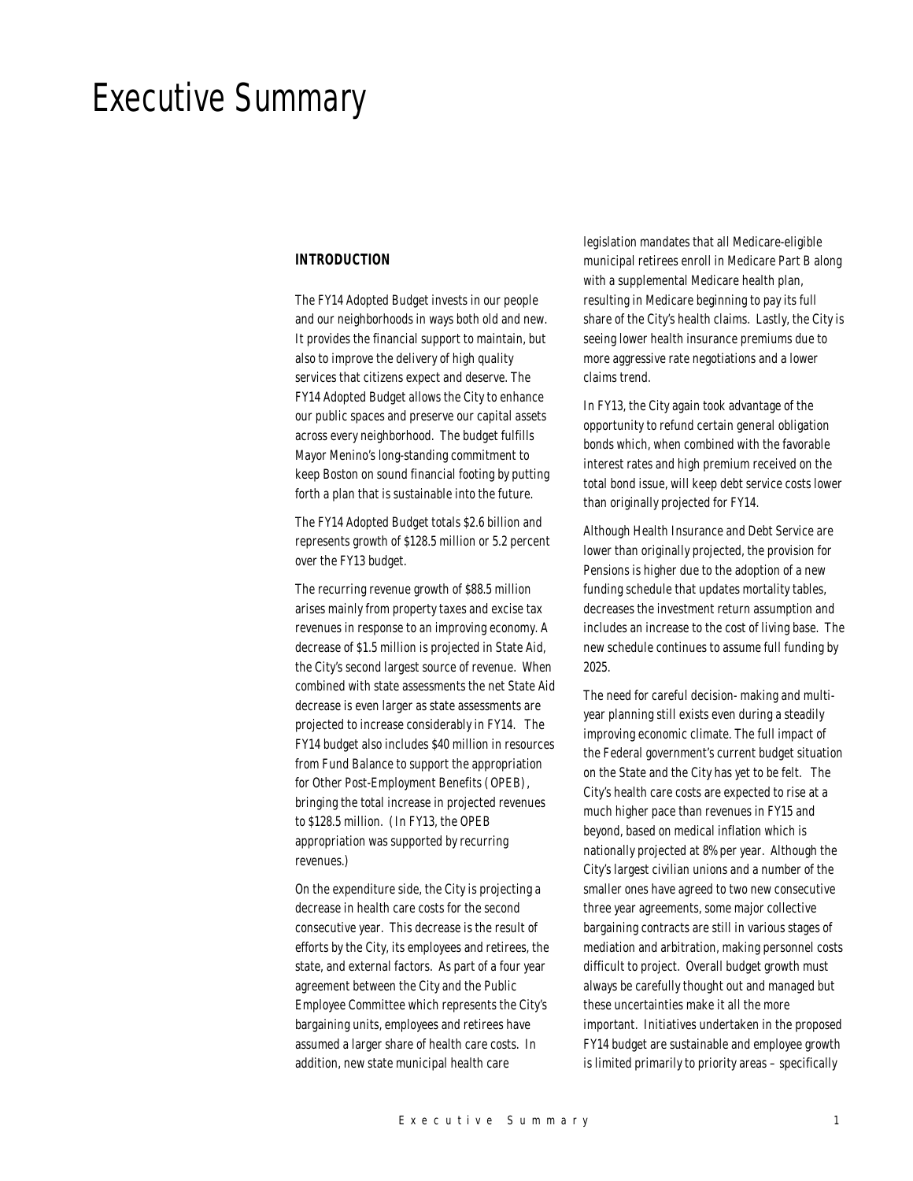# Executive Summary

#### *INTRODUCTION*

The FY14 Adopted Budget invests in our people and our neighborhoods in ways both old and new. It provides the financial support to maintain, but also to improve the delivery of high quality services that citizens expect and deserve. The FY14 Adopted Budget allows the City to enhance our public spaces and preserve our capital assets across every neighborhood. The budget fulfills Mayor Menino's long-standing commitment to keep Boston on sound financial footing by putting forth a plan that is sustainable into the future.

The FY14 Adopted Budget totals \$2.6 billion and represents growth of \$128.5 million or 5.2 percent over the FY13 budget.

The recurring revenue growth of \$88.5 million arises mainly from property taxes and excise tax revenues in response to an improving economy. A decrease of \$1.5 million is projected in State Aid, the City's second largest source of revenue. When combined with state assessments the net State Aid decrease is even larger as state assessments are projected to increase considerably in FY14. The FY14 budget also includes \$40 million in resources from Fund Balance to support the appropriation for Other Post-Employment Benefits (OPEB), bringing the total increase in projected revenues to \$128.5 million. (In FY13, the OPEB appropriation was supported by recurring revenues.)

On the expenditure side, the City is projecting a decrease in health care costs for the second consecutive year. This decrease is the result of efforts by the City, its employees and retirees, the state, and external factors. As part of a four year agreement between the City and the Public Employee Committee which represents the City's bargaining units, employees and retirees have assumed a larger share of health care costs. In addition, new state municipal health care

legislation mandates that all Medicare-eligible municipal retirees enroll in Medicare Part B along with a supplemental Medicare health plan, resulting in Medicare beginning to pay its full share of the City's health claims. Lastly, the City is seeing lower health insurance premiums due to more aggressive rate negotiations and a lower claims trend.

In FY13, the City again took advantage of the opportunity to refund certain general obligation bonds which, when combined with the favorable interest rates and high premium received on the total bond issue, will keep debt service costs lower than originally projected for FY14.

Although Health Insurance and Debt Service are lower than originally projected, the provision for Pensions is higher due to the adoption of a new funding schedule that updates mortality tables, decreases the investment return assumption and includes an increase to the cost of living base. The new schedule continues to assume full funding by 2025.

The need for careful decision- making and multiyear planning still exists even during a steadily improving economic climate. The full impact of the Federal government's current budget situation on the State and the City has yet to be felt. The City's health care costs are expected to rise at a much higher pace than revenues in FY15 and beyond, based on medical inflation which is nationally projected at 8% per year. Although the City's largest civilian unions and a number of the smaller ones have agreed to two new consecutive three year agreements, some major collective bargaining contracts are still in various stages of mediation and arbitration, making personnel costs difficult to project. Overall budget growth must always be carefully thought out and managed but these uncertainties make it all the more important. Initiatives undertaken in the proposed FY14 budget are sustainable and employee growth is limited primarily to priority areas – specifically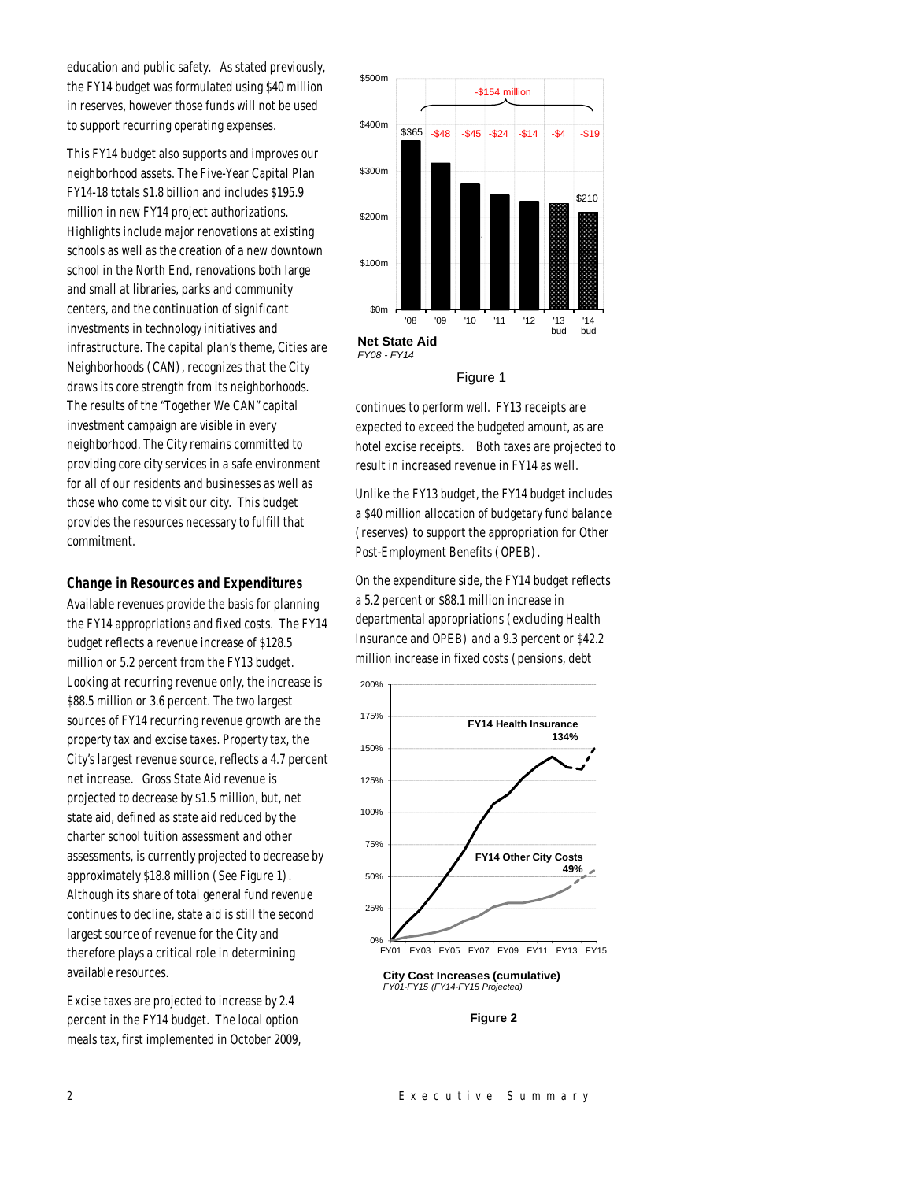education and public safety. As stated previously, the FY14 budget was formulated using \$40 million in reserves, however those funds will not be used to support recurring operating expenses.

This FY14 budget also supports and improves our neighborhood assets. The Five-Year Capital Plan FY14-18 totals \$1.8 billion and includes \$195.9 million in new FY14 project authorizations. Highlights include major renovations at existing schools as well as the creation of a new downtown school in the North End, renovations both large and small at libraries, parks and community centers, and the continuation of significant investments in technology initiatives and infrastructure. The capital plan's theme, Cities are Neighborhoods (CAN), recognizes that the City draws its core strength from its neighborhoods. The results of the "Together We CAN" capital investment campaign are visible in every neighborhood. The City remains committed to providing core city services in a safe environment for all of our residents and businesses as well as those who come to visit our city. This budget provides the resources necessary to fulfill that commitment.

#### *Change in Resources and Expenditures*

Available revenues provide the basis for planning the FY14 appropriations and fixed costs. The FY14 budget reflects a revenue increase of \$128.5 million or 5.2 percent from the FY13 budget. Looking at recurring revenue only, the increase is \$88.5 million or 3.6 percent. The two largest sources of FY14 recurring revenue growth are the property tax and excise taxes. Property tax, the City's largest revenue source, reflects a 4.7 percent net increase. Gross State Aid revenue is projected to decrease by \$1.5 million, but, net state aid, defined as state aid reduced by the charter school tuition assessment and other assessments, is currently projected to decrease by approximately \$18.8 million (See Figure 1). Although its share of total general fund revenue continues to decline, state aid is still the second largest source of revenue for the City and therefore plays a critical role in determining available resources.

Excise taxes are projected to increase by 2.4 percent in the FY14 budget. The local option meals tax, first implemented in October 2009,



## Figure 1

continues to perform well. FY13 receipts are expected to exceed the budgeted amount, as are hotel excise receipts. Both taxes are projected to result in increased revenue in FY14 as well.

Unlike the FY13 budget, the FY14 budget includes a \$40 million allocation of budgetary fund balance (reserves) to support the appropriation for Other Post-Employment Benefits (OPEB).

On the expenditure side, the FY14 budget reflects a 5.2 percent or \$88.1 million increase in departmental appropriations (excluding Health Insurance and OPEB) and a 9.3 percent or \$42.2 million increase in fixed costs (pensions, debt





**City Cost Increases (cumulative)** *FY01-FY15 (FY14-FY15 Projected)*

#### **Figure 2**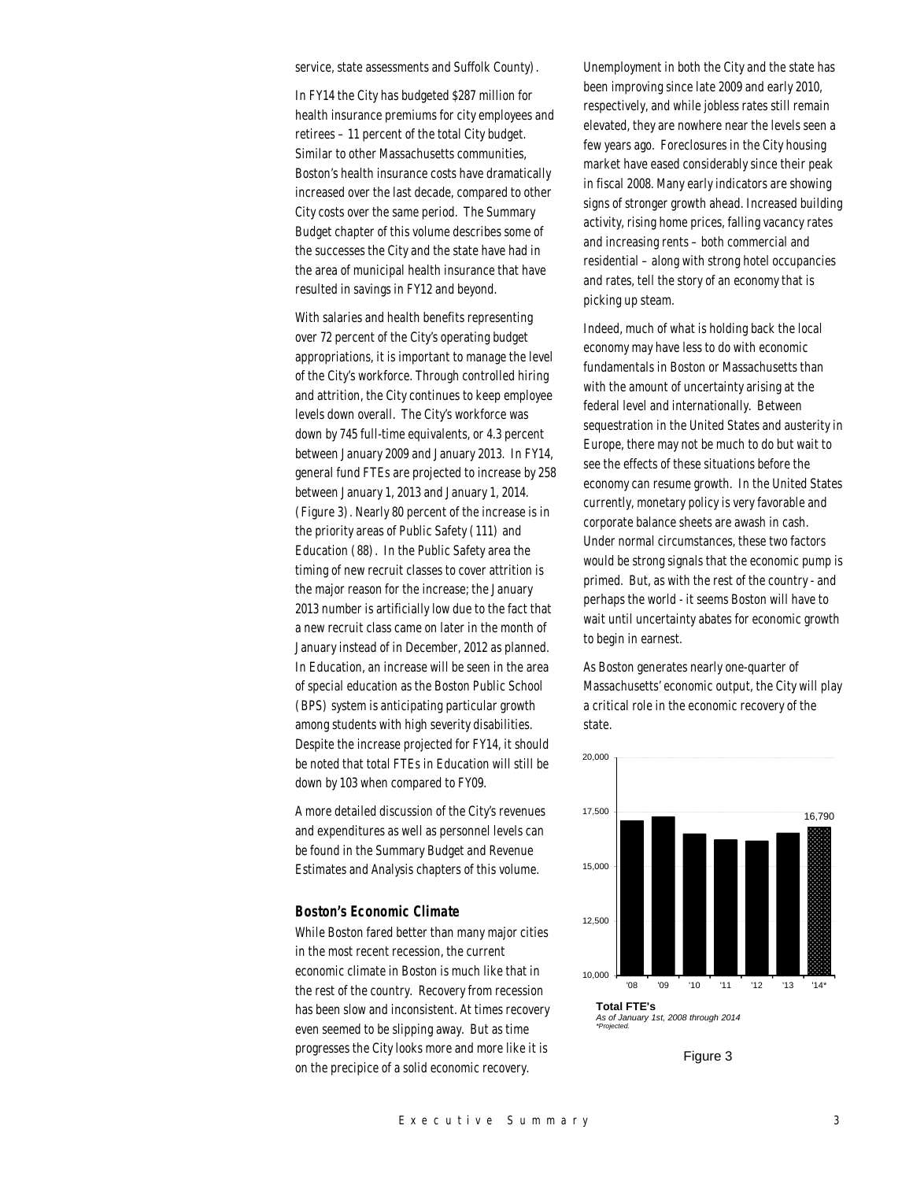service, state assessments and Suffolk County).

In FY14 the City has budgeted \$287 million for health insurance premiums for city employees and retirees – 11 percent of the total City budget. Similar to other Massachusetts communities, Boston's health insurance costs have dramatically increased over the last decade, compared to other City costs over the same period. The Summary Budget chapter of this volume describes some of the successes the City and the state have had in the area of municipal health insurance that have resulted in savings in FY12 and beyond.

With salaries and health benefits representing over 72 percent of the City's operating budget appropriations, it is important to manage the level of the City's workforce. Through controlled hiring and attrition, the City continues to keep employee levels down overall. The City's workforce was down by 745 full-time equivalents, or 4.3 percent between January 2009 and January 2013. In FY14, general fund FTEs are projected to increase by 258 between January 1, 2013 and January 1, 2014. (Figure 3). Nearly 80 percent of the increase is in the priority areas of Public Safety (111) and Education (88). In the Public Safety area the timing of new recruit classes to cover attrition is the major reason for the increase; the January 2013 number is artificially low due to the fact that a new recruit class came on later in the month of January instead of in December, 2012 as planned. In Education, an increase will be seen in the area of special education as the Boston Public School (BPS) system is anticipating particular growth among students with high severity disabilities. Despite the increase projected for FY14, it should be noted that total FTEs in Education will still be down by 103 when compared to FY09.

A more detailed discussion of the City's revenues and expenditures as well as personnel levels can be found in the Summary Budget and Revenue Estimates and Analysis chapters of this volume.

#### *Boston's Economic Climate*

While Boston fared better than many major cities in the most recent recession, the current economic climate in Boston is much like that in the rest of the country. Recovery from recession has been slow and inconsistent. At times recovery even seemed to be slipping away. But as time progresses the City looks more and more like it is on the precipice of a solid economic recovery.

Unemployment in both the City and the state has been improving since late 2009 and early 2010, respectively, and while jobless rates still remain elevated, they are nowhere near the levels seen a few years ago. Foreclosures in the City housing market have eased considerably since their peak in fiscal 2008. Many early indicators are showing signs of stronger growth ahead. Increased building activity, rising home prices, falling vacancy rates and increasing rents – both commercial and residential – along with strong hotel occupancies and rates, tell the story of an economy that is picking up steam.

Indeed, much of what is holding back the local economy may have less to do with economic fundamentals in Boston or Massachusetts than with the amount of uncertainty arising at the federal level and internationally. Between sequestration in the United States and austerity in Europe, there may not be much to do but wait to see the effects of these situations before the economy can resume growth. In the United States currently, monetary policy is very favorable and corporate balance sheets are awash in cash. Under normal circumstances, these two factors would be strong signals that the economic pump is primed. But, as with the rest of the country - and perhaps the world - it seems Boston will have to wait until uncertainty abates for economic growth to begin in earnest.

As Boston generates nearly one-quarter of Massachusetts' economic output, the City will play a critical role in the economic recovery of the state.



Figure 3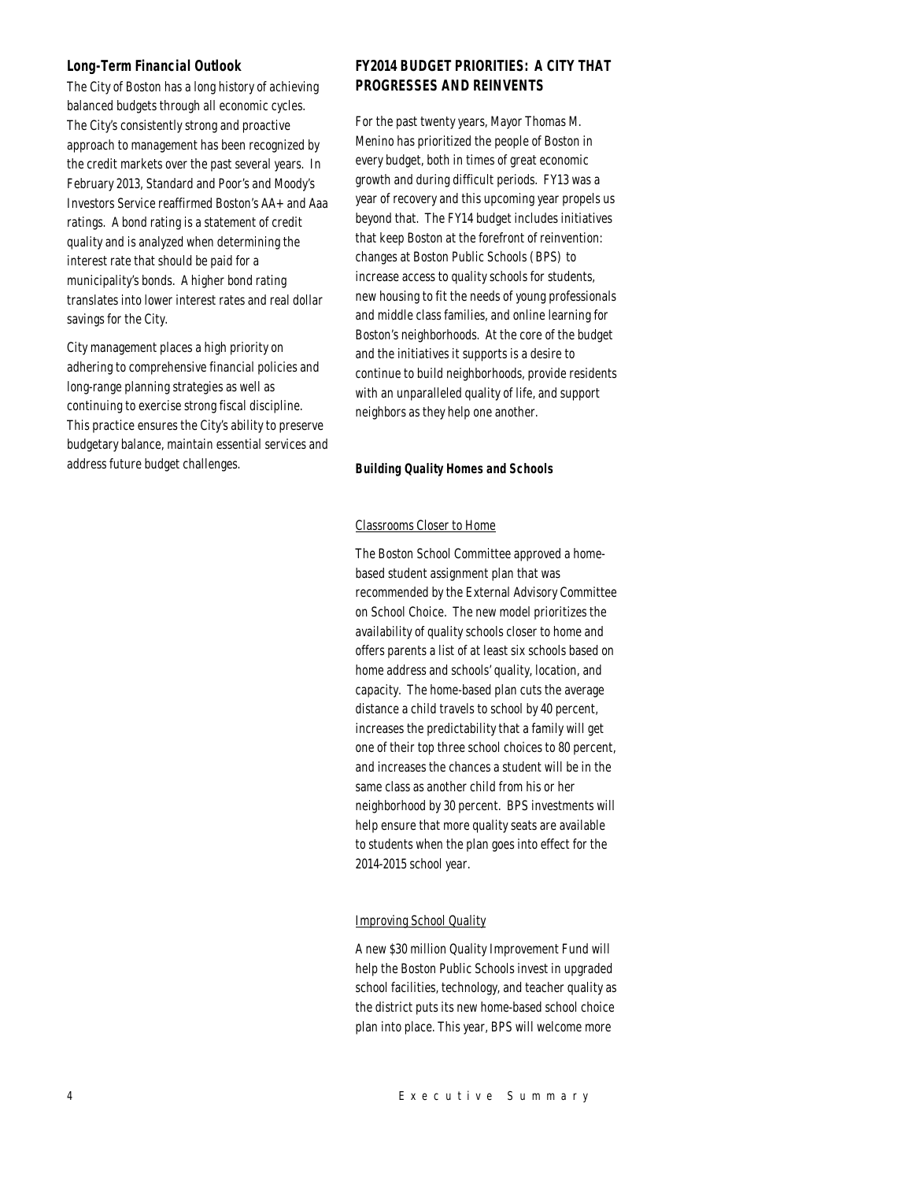## *Long-Term Financial Outlook*

The City of Boston has a long history of achieving balanced budgets through all economic cycles. The City's consistently strong and proactive approach to management has been recognized by the credit markets over the past several years. In February 2013, Standard and Poor's and Moody's Investors Service reaffirmed Boston's AA+ and Aaa ratings. A bond rating is a statement of credit quality and is analyzed when determining the interest rate that should be paid for a municipality's bonds. A higher bond rating translates into lower interest rates and real dollar savings for the City.

City management places a high priority on adhering to comprehensive financial policies and long-range planning strategies as well as continuing to exercise strong fiscal discipline. This practice ensures the City's ability to preserve budgetary balance, maintain essential services and address future budget challenges.

## *FY2014 BUDGET PRIORITIES: A CITY THAT PROGRESSES AND REINVENTS*

For the past twenty years, Mayor Thomas M. Menino has prioritized the people of Boston in every budget, both in times of great economic growth and during difficult periods. FY13 was a year of recovery and this upcoming year propels us beyond that. The FY14 budget includes initiatives that keep Boston at the forefront of reinvention: changes at Boston Public Schools (BPS) to increase access to quality schools for students, new housing to fit the needs of young professionals and middle class families, and online learning for Boston's neighborhoods. At the core of the budget and the initiatives it supports is a desire to continue to build neighborhoods, provide residents with an unparalleled quality of life, and support neighbors as they help one another.

## *Building Quality Homes and Schools*

## Classrooms Closer to Home

The Boston School Committee approved a homebased student assignment plan that was recommended by the External Advisory Committee on School Choice. The new model prioritizes the availability of quality schools closer to home and offers parents a list of at least six schools based on home address and schools' quality, location, and capacity. The home-based plan cuts the average distance a child travels to school by 40 percent, increases the predictability that a family will get one of their top three school choices to 80 percent, and increases the chances a student will be in the same class as another child from his or her neighborhood by 30 percent. BPS investments will help ensure that more quality seats are available to students when the plan goes into effect for the 2014-2015 school year.

## Improving School Quality

A new \$30 million Quality Improvement Fund will help the Boston Public Schools invest in upgraded school facilities, technology, and teacher quality as the district puts its new home-based school choice plan into place. This year, BPS will welcome more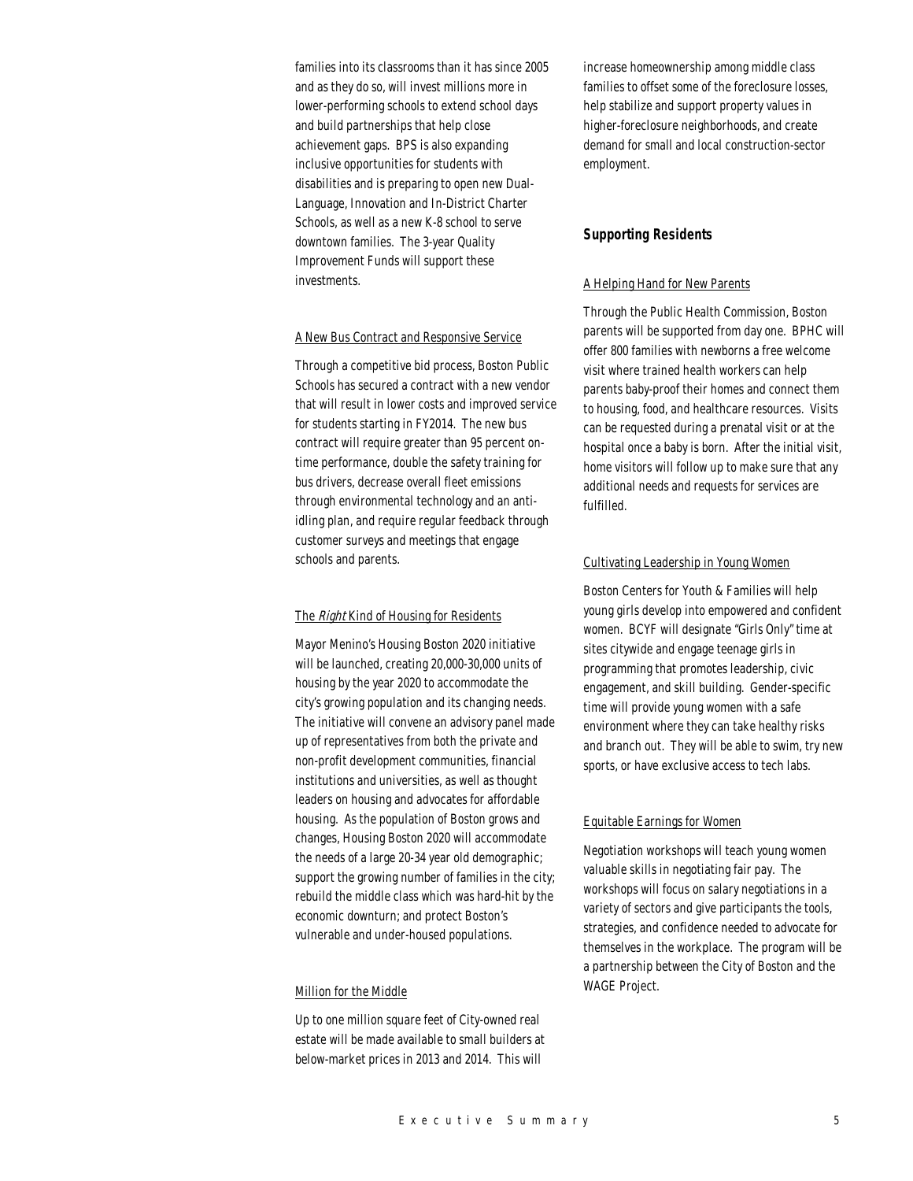families into its classrooms than it has since 2005 and as they do so, will invest millions more in lower-performing schools to extend school days and build partnerships that help close achievement gaps. BPS is also expanding inclusive opportunities for students with disabilities and is preparing to open new Dual-Language, Innovation and In-District Charter Schools, as well as a new K-8 school to serve downtown families. The 3-year Quality Improvement Funds will support these investments.

#### A New Bus Contract and Responsive Service

Through a competitive bid process, Boston Public Schools has secured a contract with a new vendor that will result in lower costs and improved service for students starting in FY2014. The new bus contract will require greater than 95 percent ontime performance, double the safety training for bus drivers, decrease overall fleet emissions through environmental technology and an antiidling plan, and require regular feedback through customer surveys and meetings that engage schools and parents.

## The Right Kind of Housing for Residents

Mayor Menino's Housing Boston 2020 initiative will be launched, creating 20,000-30,000 units of housing by the year 2020 to accommodate the city's growing population and its changing needs. The initiative will convene an advisory panel made up of representatives from both the private and non-profit development communities, financial institutions and universities, as well as thought leaders on housing and advocates for affordable housing. As the population of Boston grows and changes, Housing Boston 2020 will accommodate the needs of a large 20-34 year old demographic; support the growing number of families in the city; rebuild the middle class which was hard-hit by the economic downturn; and protect Boston's vulnerable and under-housed populations.

## Million for the Middle

Up to one million square feet of City-owned real estate will be made available to small builders at below-market prices in 2013 and 2014. This will

increase homeownership among middle class families to offset some of the foreclosure losses, help stabilize and support property values in higher-foreclosure neighborhoods, and create demand for small and local construction-sector employment.

## *Supporting Residents*

#### A Helping Hand for New Parents

Through the Public Health Commission, Boston parents will be supported from day one. BPHC will offer 800 families with newborns a free welcome visit where trained health workers can help parents baby-proof their homes and connect them to housing, food, and healthcare resources. Visits can be requested during a prenatal visit or at the hospital once a baby is born. After the initial visit, home visitors will follow up to make sure that any additional needs and requests for services are fulfilled.

#### Cultivating Leadership in Young Women

Boston Centers for Youth & Families will help young girls develop into empowered and confident women. BCYF will designate "Girls Only" time at sites citywide and engage teenage girls in programming that promotes leadership, civic engagement, and skill building. Gender-specific time will provide young women with a safe environment where they can take healthy risks and branch out. They will be able to swim, try new sports, or have exclusive access to tech labs.

#### Equitable Earnings for Women

Negotiation workshops will teach young women valuable skills in negotiating fair pay. The workshops will focus on salary negotiations in a variety of sectors and give participants the tools, strategies, and confidence needed to advocate for themselves in the workplace. The program will be a partnership between the City of Boston and the WAGE Project.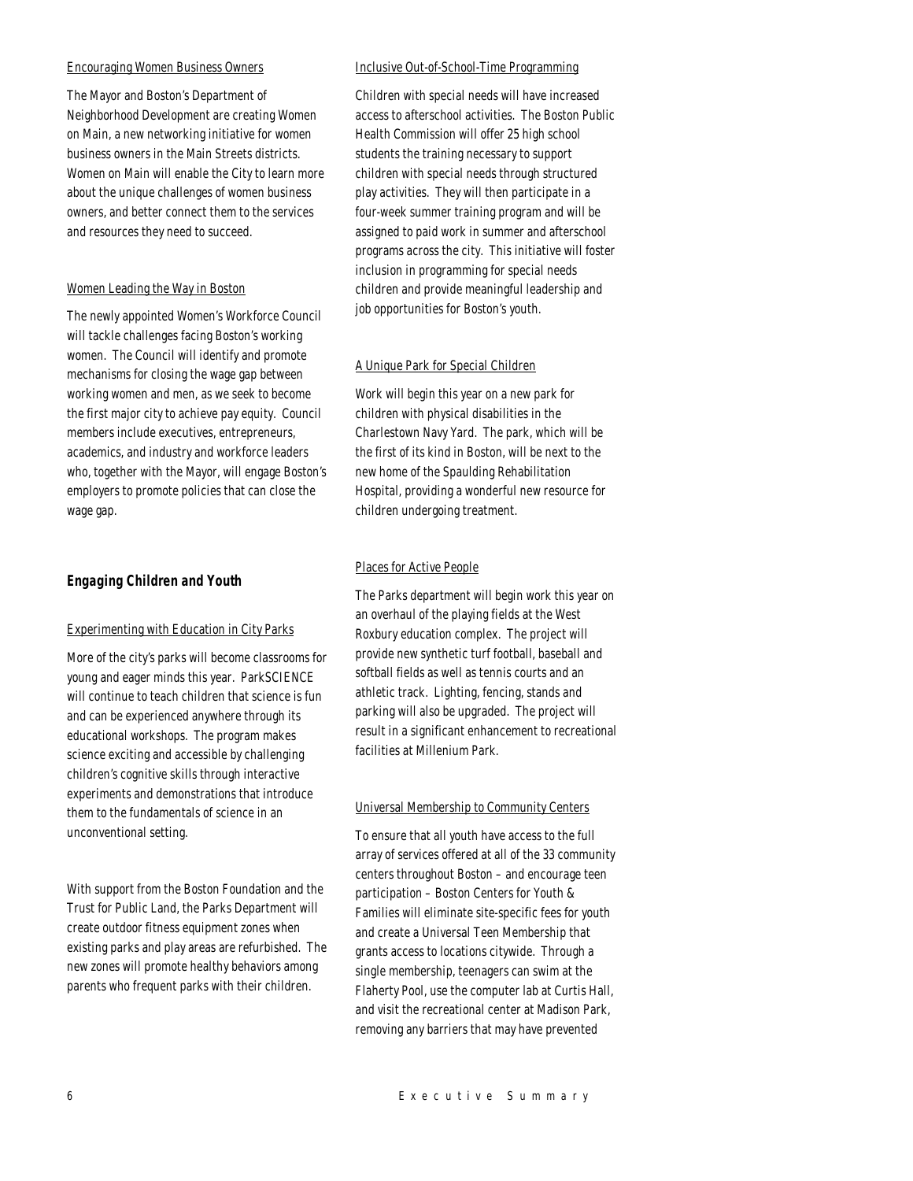## Encouraging Women Business Owners

The Mayor and Boston's Department of Neighborhood Development are creating Women on Main, a new networking initiative for women business owners in the Main Streets districts. Women on Main will enable the City to learn more about the unique challenges of women business owners, and better connect them to the services and resources they need to succeed.

## Women Leading the Way in Boston

The newly appointed Women's Workforce Council will tackle challenges facing Boston's working women. The Council will identify and promote mechanisms for closing the wage gap between working women and men, as we seek to become the first major city to achieve pay equity. Council members include executives, entrepreneurs, academics, and industry and workforce leaders who, together with the Mayor, will engage Boston's employers to promote policies that can close the wage gap.

## *Engaging Children and Youth*

#### Experimenting with Education in City Parks

More of the city's parks will become classrooms for young and eager minds this year. ParkSCIENCE will continue to teach children that science is fun and can be experienced anywhere through its educational workshops. The program makes science exciting and accessible by challenging children's cognitive skills through interactive experiments and demonstrations that introduce them to the fundamentals of science in an unconventional setting.

With support from the Boston Foundation and the Trust for Public Land, the Parks Department will create outdoor fitness equipment zones when existing parks and play areas are refurbished. The new zones will promote healthy behaviors among parents who frequent parks with their children.

#### Inclusive Out-of-School-Time Programming

Children with special needs will have increased access to afterschool activities. The Boston Public Health Commission will offer 25 high school students the training necessary to support children with special needs through structured play activities. They will then participate in a four-week summer training program and will be assigned to paid work in summer and afterschool programs across the city. This initiative will foster inclusion in programming for special needs children and provide meaningful leadership and job opportunities for Boston's youth.

#### A Unique Park for Special Children

Work will begin this year on a new park for children with physical disabilities in the Charlestown Navy Yard. The park, which will be the first of its kind in Boston, will be next to the new home of the Spaulding Rehabilitation Hospital, providing a wonderful new resource for children undergoing treatment.

#### Places for Active People

The Parks department will begin work this year on an overhaul of the playing fields at the West Roxbury education complex. The project will provide new synthetic turf football, baseball and softball fields as well as tennis courts and an athletic track. Lighting, fencing, stands and parking will also be upgraded. The project will result in a significant enhancement to recreational facilities at Millenium Park.

#### Universal Membership to Community Centers

To ensure that all youth have access to the full array of services offered at all of the 33 community centers throughout Boston – and encourage teen participation – Boston Centers for Youth & Families will eliminate site-specific fees for youth and create a Universal Teen Membership that grants access to locations citywide. Through a single membership, teenagers can swim at the Flaherty Pool, use the computer lab at Curtis Hall, and visit the recreational center at Madison Park, removing any barriers that may have prevented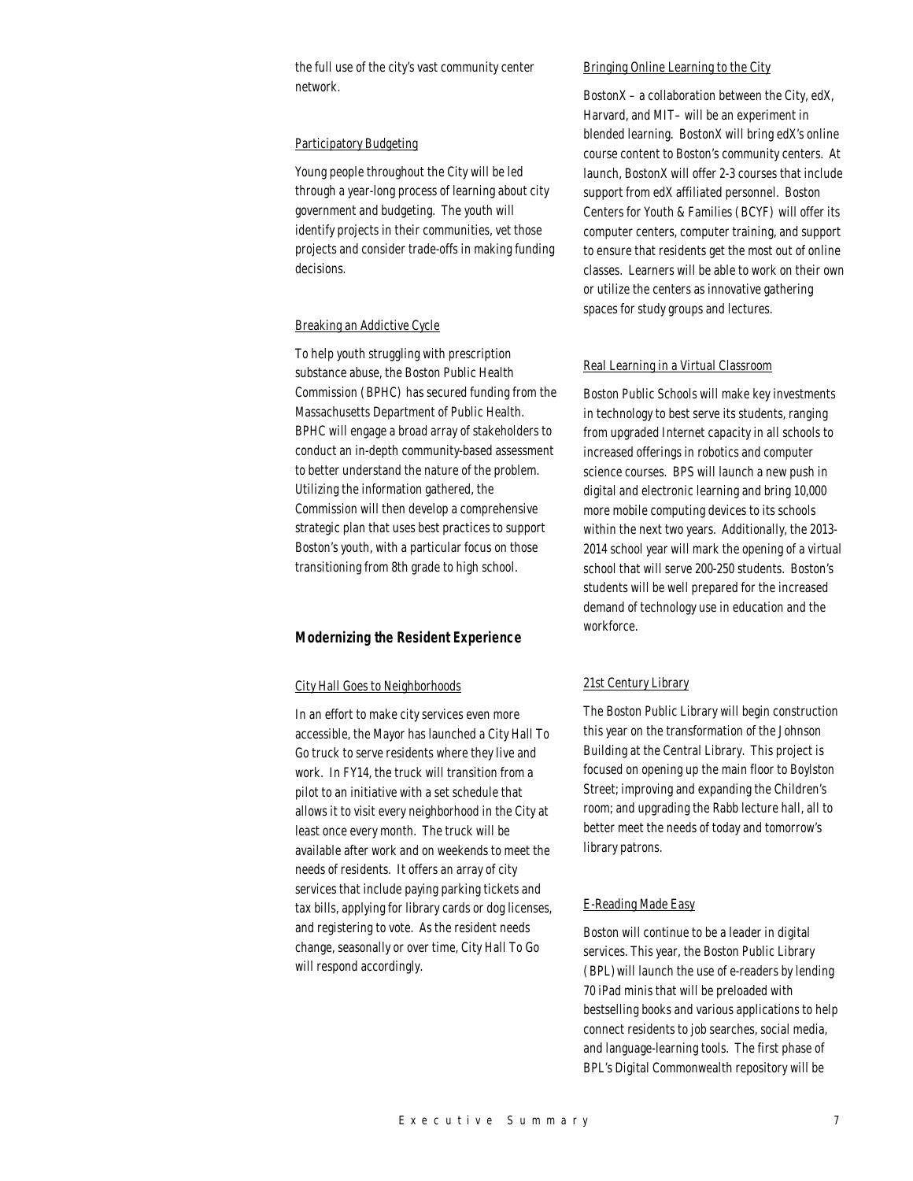the full use of the city's vast community center network.

#### Participatory Budgeting

Young people throughout the City will be led through a year-long process of learning about city government and budgeting. The youth will identify projects in their communities, vet those projects and consider trade-offs in making funding decisions.

#### Breaking an Addictive Cycle

To help youth struggling with prescription substance abuse, the Boston Public Health Commission (BPHC) has secured funding from the Massachusetts Department of Public Health. BPHC will engage a broad array of stakeholders to conduct an in-depth community-based assessment to better understand the nature of the problem. Utilizing the information gathered, the Commission will then develop a comprehensive strategic plan that uses best practices to support Boston's youth, with a particular focus on those transitioning from 8th grade to high school.

## *Modernizing the Resident Experience*

#### City Hall Goes to Neighborhoods

In an effort to make city services even more accessible, the Mayor has launched a City Hall To Go truck to serve residents where they live and work. In FY14, the truck will transition from a pilot to an initiative with a set schedule that allows it to visit every neighborhood in the City at least once every month. The truck will be available after work and on weekends to meet the needs of residents. It offers an array of city services that include paying parking tickets and tax bills, applying for library cards or dog licenses, and registering to vote. As the resident needs change, seasonally or over time, City Hall To Go will respond accordingly.

#### Bringing Online Learning to the City

Boston $X$  – a collaboration between the City, edX, Harvard, and MIT– will be an experiment in blended learning. BostonX will bring edX's online course content to Boston's community centers. At launch, BostonX will offer 2-3 courses that include support from edX affiliated personnel. Boston Centers for Youth & Families (BCYF) will offer its computer centers, computer training, and support to ensure that residents get the most out of online classes. Learners will be able to work on their own or utilize the centers as innovative gathering spaces for study groups and lectures.

#### Real Learning in a Virtual Classroom

Boston Public Schools will make key investments in technology to best serve its students, ranging from upgraded Internet capacity in all schools to increased offerings in robotics and computer science courses. BPS will launch a new push in digital and electronic learning and bring 10,000 more mobile computing devices to its schools within the next two years. Additionally, the 2013- 2014 school year will mark the opening of a virtual school that will serve 200-250 students. Boston's students will be well prepared for the increased demand of technology use in education and the workforce.

#### 21st Century Library

The Boston Public Library will begin construction this year on the transformation of the Johnson Building at the Central Library. This project is focused on opening up the main floor to Boylston Street; improving and expanding the Children's room; and upgrading the Rabb lecture hall, all to better meet the needs of today and tomorrow's library patrons.

#### E-Reading Made Easy

Boston will continue to be a leader in digital services. This year, the Boston Public Library (BPL)will launch the use of e-readers by lending 70 iPad minis that will be preloaded with bestselling books and various applications to help connect residents to job searches, social media, and language-learning tools. The first phase of BPL's Digital Commonwealth repository will be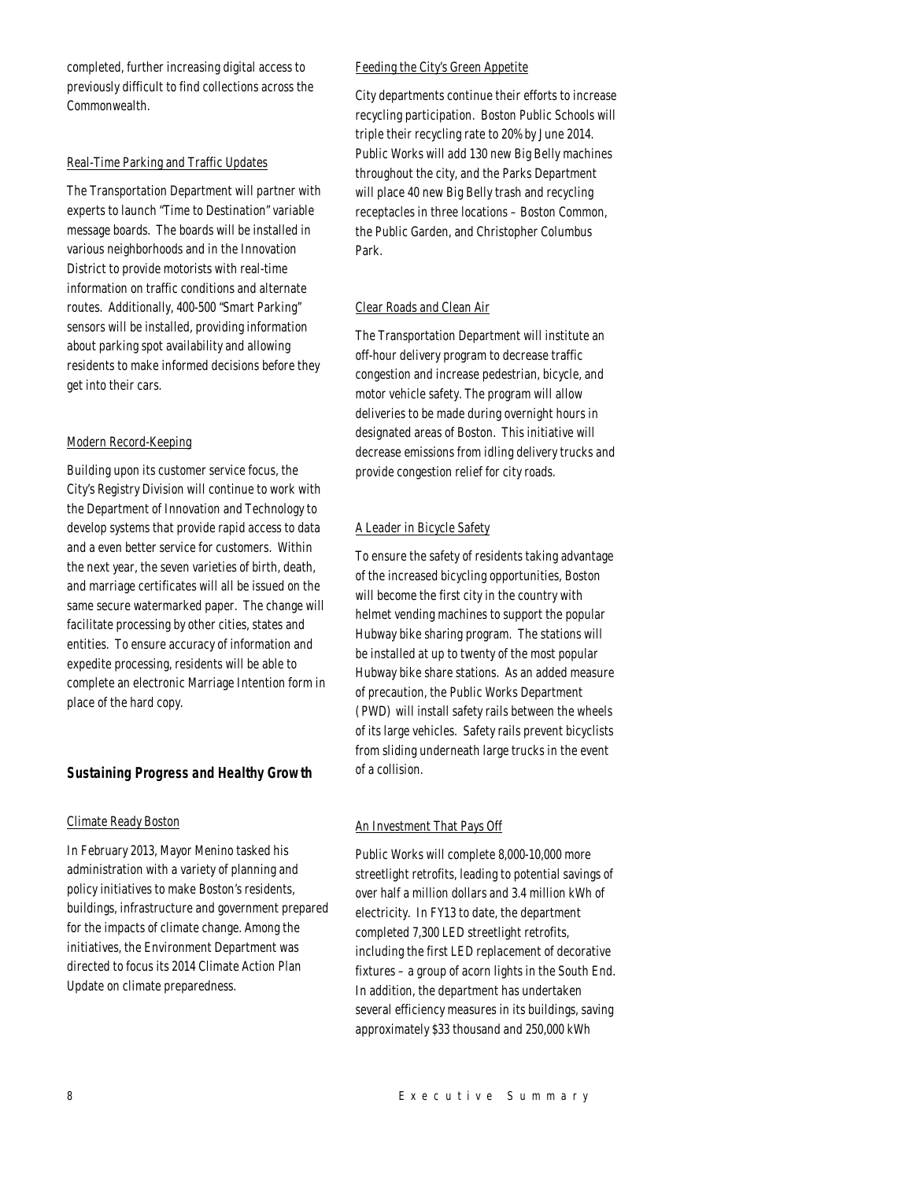completed, further increasing digital access to previously difficult to find collections across the Commonwealth.

#### Real-Time Parking and Traffic Updates

The Transportation Department will partner with experts to launch "Time to Destination" variable message boards. The boards will be installed in various neighborhoods and in the Innovation District to provide motorists with real-time information on traffic conditions and alternate routes. Additionally, 400-500 "Smart Parking" sensors will be installed, providing information about parking spot availability and allowing residents to make informed decisions before they get into their cars.

#### Modern Record-Keeping

Building upon its customer service focus, the City's Registry Division will continue to work with the Department of Innovation and Technology to develop systems that provide rapid access to data and a even better service for customers. Within the next year, the seven varieties of birth, death, and marriage certificates will all be issued on the same secure watermarked paper. The change will facilitate processing by other cities, states and entities. To ensure accuracy of information and expedite processing, residents will be able to complete an electronic Marriage Intention form in place of the hard copy.

## *Sustaining Progress and Healthy Growth*

#### Climate Ready Boston

In February 2013, Mayor Menino tasked his administration with a variety of planning and policy initiatives to make Boston's residents, buildings, infrastructure and government prepared for the impacts of climate change. Among the initiatives, the Environment Department was directed to focus its 2014 Climate Action Plan Update on climate preparedness.

#### Feeding the City's Green Appetite

City departments continue their efforts to increase recycling participation. Boston Public Schools will triple their recycling rate to 20% by June 2014. Public Works will add 130 new Big Belly machines throughout the city, and the Parks Department will place 40 new Big Belly trash and recycling receptacles in three locations – Boston Common, the Public Garden, and Christopher Columbus Park.

#### Clear Roads and Clean Air

The Transportation Department will institute an off-hour delivery program to decrease traffic congestion and increase pedestrian, bicycle, and motor vehicle safety. The program will allow deliveries to be made during overnight hours in designated areas of Boston. This initiative will decrease emissions from idling delivery trucks and provide congestion relief for city roads.

## A Leader in Bicycle Safety

To ensure the safety of residents taking advantage of the increased bicycling opportunities, Boston will become the first city in the country with helmet vending machines to support the popular Hubway bike sharing program. The stations will be installed at up to twenty of the most popular Hubway bike share stations. As an added measure of precaution, the Public Works Department (PWD) will install safety rails between the wheels of its large vehicles. Safety rails prevent bicyclists from sliding underneath large trucks in the event of a collision.

#### An Investment That Pays Off

Public Works will complete 8,000-10,000 more streetlight retrofits, leading to potential savings of over half a million dollars and 3.4 million kWh of electricity. In FY13 to date, the department completed 7,300 LED streetlight retrofits, including the first LED replacement of decorative fixtures – a group of acorn lights in the South End. In addition, the department has undertaken several efficiency measures in its buildings, saving approximately \$33 thousand and 250,000 kWh